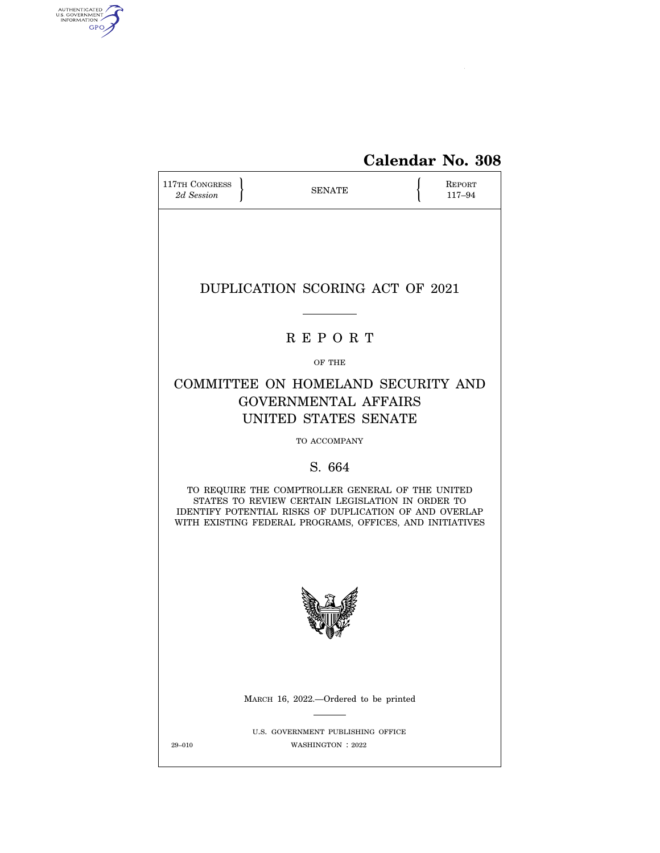

# **Calendar No. 308**

| 117TH CONGRESS<br>2d Session                                                                                                                                                                                               |  |                                                        | REPORT<br>117-94 |  |  |  |  |
|----------------------------------------------------------------------------------------------------------------------------------------------------------------------------------------------------------------------------|--|--------------------------------------------------------|------------------|--|--|--|--|
|                                                                                                                                                                                                                            |  |                                                        |                  |  |  |  |  |
| DUPLICATION SCORING ACT OF 2021                                                                                                                                                                                            |  |                                                        |                  |  |  |  |  |
| <b>REPORT</b>                                                                                                                                                                                                              |  |                                                        |                  |  |  |  |  |
| OF THE                                                                                                                                                                                                                     |  |                                                        |                  |  |  |  |  |
| COMMITTEE ON HOMELAND SECURITY AND<br><b>GOVERNMENTAL AFFAIRS</b><br>UNITED STATES SENATE                                                                                                                                  |  |                                                        |                  |  |  |  |  |
|                                                                                                                                                                                                                            |  | TO ACCOMPANY                                           |                  |  |  |  |  |
|                                                                                                                                                                                                                            |  | S. 664                                                 |                  |  |  |  |  |
| TO REQUIRE THE COMPTROLLER GENERAL OF THE UNITED<br>STATES TO REVIEW CERTAIN LEGISLATION IN ORDER TO<br>IDENTIFY POTENTIAL RISKS OF DUPLICATION OF AND OVERLAP<br>WITH EXISTING FEDERAL PROGRAMS, OFFICES, AND INITIATIVES |  |                                                        |                  |  |  |  |  |
|                                                                                                                                                                                                                            |  |                                                        |                  |  |  |  |  |
|                                                                                                                                                                                                                            |  | MARCH 16, 2022.-Ordered to be printed                  |                  |  |  |  |  |
| 29-010                                                                                                                                                                                                                     |  | U.S. GOVERNMENT PUBLISHING OFFICE<br>WASHINGTON : 2022 |                  |  |  |  |  |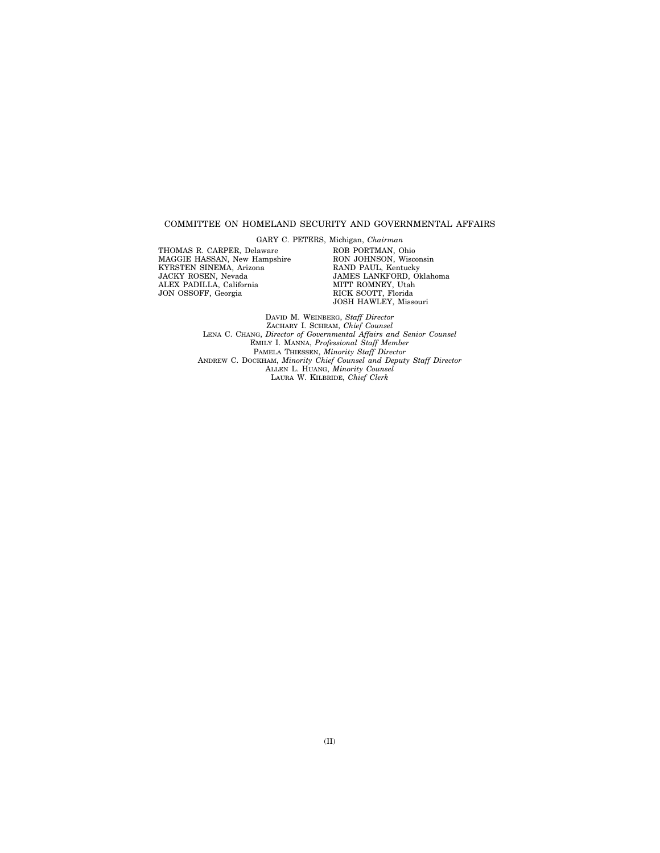#### COMMITTEE ON HOMELAND SECURITY AND GOVERNMENTAL AFFAIRS

THOMAS R. CARPER, Delaware MAGGIE HASSAN, New Hampshire KYRSTEN SINEMA, Arizona JACKY ROSEN, Nevada ALEX PADILLA, California JON OSSOFF, Georgia

GARY C. PETERS, Michigan, *Chairman*  ROB PORTMAN, Ohio RON JOHNSON, Wisconsin RAND PAUL, Kentucky JAMES LANKFORD, Oklahoma MITT ROMNEY, Utah RICK SCOTT, Florida JOSH HAWLEY, Missouri

DAVID M. WEINBERG, *Staff Director*  ZACHARY I. SCHRAM, *Chief Counsel*  LENA C. CHANG, *Director of Governmental Affairs and Senior Counsel*  EMILY I. MANNA, *Professional Staff Member*  PAMELA THIESSEN, *Minority Staff Director*  ANDREW C. DOCKHAM, *Minority Chief Counsel and Deputy Staff Director*  ALLEN L. HUANG, *Minority Counsel*  LAURA W. KILBRIDE, *Chief Clerk*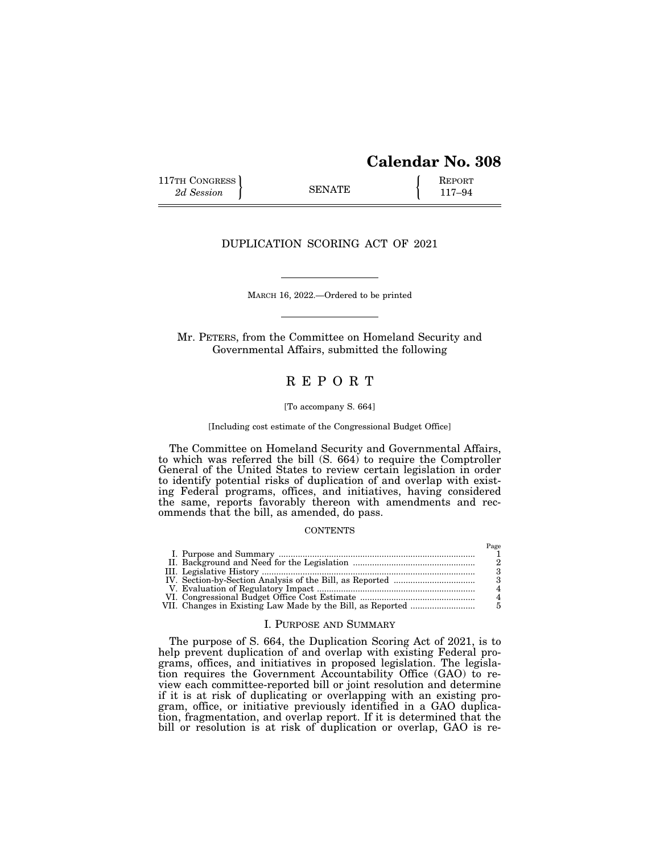# **Calendar No. 308**

Page

117TH CONGRESS **REPORT** 2d Session **117–94 8ENATE 117–94** 

## DUPLICATION SCORING ACT OF 2021

MARCH 16, 2022.—Ordered to be printed

Mr. PETERS, from the Committee on Homeland Security and Governmental Affairs, submitted the following

## R E P O R T

#### [To accompany S. 664]

[Including cost estimate of the Congressional Budget Office]

The Committee on Homeland Security and Governmental Affairs, to which was referred the bill (S. 664) to require the Comptroller General of the United States to review certain legislation in order to identify potential risks of duplication of and overlap with existing Federal programs, offices, and initiatives, having considered the same, reports favorably thereon with amendments and recommends that the bill, as amended, do pass.

#### **CONTENTS**

|  | 1 agu |
|--|-------|
|  |       |
|  |       |
|  |       |
|  |       |
|  |       |
|  |       |
|  |       |
|  |       |

### I. PURPOSE AND SUMMARY

The purpose of S. 664, the Duplication Scoring Act of 2021, is to help prevent duplication of and overlap with existing Federal programs, offices, and initiatives in proposed legislation. The legislation requires the Government Accountability Office (GAO) to review each committee-reported bill or joint resolution and determine if it is at risk of duplicating or overlapping with an existing program, office, or initiative previously identified in a GAO duplication, fragmentation, and overlap report. If it is determined that the bill or resolution is at risk of duplication or overlap, GAO is re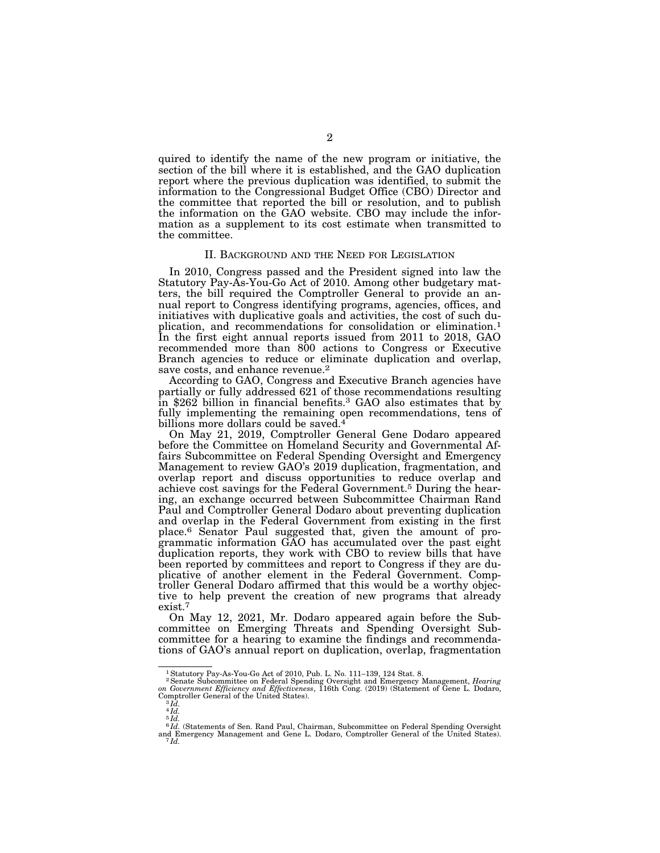quired to identify the name of the new program or initiative, the section of the bill where it is established, and the GAO duplication report where the previous duplication was identified, to submit the information to the Congressional Budget Office (CBO) Director and the committee that reported the bill or resolution, and to publish the information on the GAO website. CBO may include the information as a supplement to its cost estimate when transmitted to the committee.

#### II. BACKGROUND AND THE NEED FOR LEGISLATION

In 2010, Congress passed and the President signed into law the Statutory Pay-As-You-Go Act of 2010. Among other budgetary matters, the bill required the Comptroller General to provide an annual report to Congress identifying programs, agencies, offices, and initiatives with duplicative goals and activities, the cost of such duplication, and recommendations for consolidation or elimination.1 In the first eight annual reports issued from 2011 to 2018, GAO recommended more than 800 actions to Congress or Executive Branch agencies to reduce or eliminate duplication and overlap, save costs, and enhance revenue.<sup>2</sup>

According to GAO, Congress and Executive Branch agencies have partially or fully addressed 621 of those recommendations resulting in \$262 billion in financial benefits.3 GAO also estimates that by fully implementing the remaining open recommendations, tens of billions more dollars could be saved.<sup>4</sup>

On May 21, 2019, Comptroller General Gene Dodaro appeared before the Committee on Homeland Security and Governmental Affairs Subcommittee on Federal Spending Oversight and Emergency Management to review GAO's 2019 duplication, fragmentation, and overlap report and discuss opportunities to reduce overlap and achieve cost savings for the Federal Government.5 During the hearing, an exchange occurred between Subcommittee Chairman Rand Paul and Comptroller General Dodaro about preventing duplication and overlap in the Federal Government from existing in the first place.6 Senator Paul suggested that, given the amount of programmatic information GAO has accumulated over the past eight duplication reports, they work with CBO to review bills that have been reported by committees and report to Congress if they are duplicative of another element in the Federal Government. Comptroller General Dodaro affirmed that this would be a worthy objective to help prevent the creation of new programs that already exist.7

On May 12, 2021, Mr. Dodaro appeared again before the Subcommittee on Emerging Threats and Spending Oversight Subcommittee for a hearing to examine the findings and recommendations of GAO's annual report on duplication, overlap, fragmentation

<sup>1</sup>Statutory Pay-As-You-Go Act of 2010, Pub. L. No. 111–139, 124 Stat. 8.

<sup>&</sup>lt;sup>2</sup> Senate Subcommittee on Federal Spending Oversight and Emergency Management, *Hearing* on *Government Efficiency and Effectiveness*, 116th Cong. (2019) (Statement of Gene L. Dodaro, Comptroller General of the United St

 $^{3}$ *Id.*<br> $^{4}$ *Id.* 

<sup>5</sup> *Id.* 

 $^{6}Id$ . (Statements of Sen. Rand Paul, Chairman, Subcommittee on Federal Spending Oversight and Emergency Management and Gene L. Dodaro, Comptroller General of the United States).  $^{7}Id$ .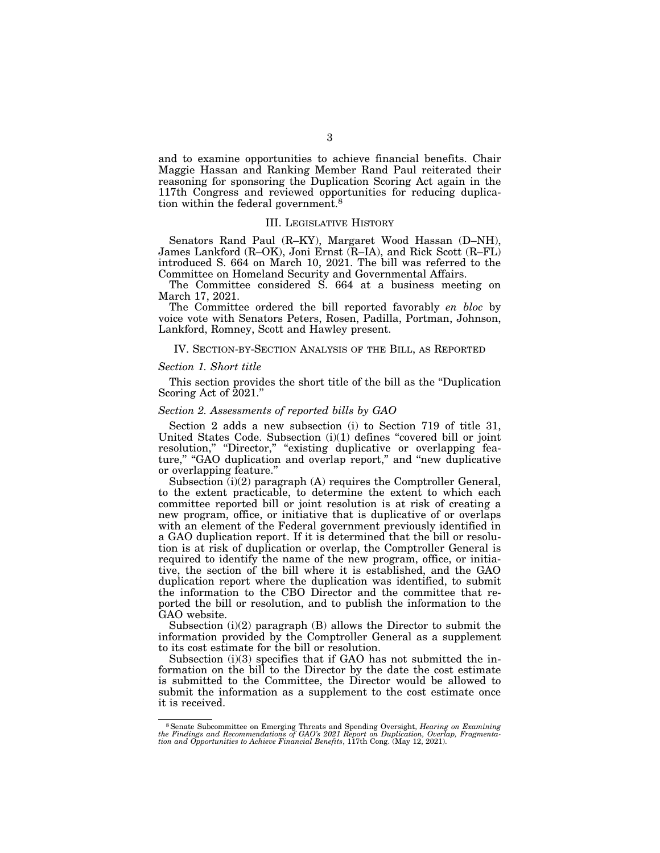and to examine opportunities to achieve financial benefits. Chair Maggie Hassan and Ranking Member Rand Paul reiterated their reasoning for sponsoring the Duplication Scoring Act again in the 117th Congress and reviewed opportunities for reducing duplication within the federal government.8

#### III. LEGISLATIVE HISTORY

Senators Rand Paul (R–KY), Margaret Wood Hassan (D–NH), James Lankford (R–OK), Joni Ernst (R–IA), and Rick Scott (R–FL) introduced S. 664 on March 10, 2021. The bill was referred to the Committee on Homeland Security and Governmental Affairs.

The Committee considered S. 664 at a business meeting on March 17, 2021.

The Committee ordered the bill reported favorably *en bloc* by voice vote with Senators Peters, Rosen, Padilla, Portman, Johnson, Lankford, Romney, Scott and Hawley present.

#### IV. SECTION-BY-SECTION ANALYSIS OF THE BILL, AS REPORTED

#### *Section 1. Short title*

This section provides the short title of the bill as the ''Duplication Scoring Act of 2021."

#### *Section 2. Assessments of reported bills by GAO*

Section 2 adds a new subsection (i) to Section 719 of title 31, United States Code. Subsection (i)(1) defines ''covered bill or joint resolution," "Director," "existing duplicative or overlapping feature," "GAO duplication and overlap report," and "new duplicative or overlapping feature.''

Subsection (i)(2) paragraph (A) requires the Comptroller General, to the extent practicable, to determine the extent to which each committee reported bill or joint resolution is at risk of creating a new program, office, or initiative that is duplicative of or overlaps with an element of the Federal government previously identified in a GAO duplication report. If it is determined that the bill or resolution is at risk of duplication or overlap, the Comptroller General is required to identify the name of the new program, office, or initiative, the section of the bill where it is established, and the GAO duplication report where the duplication was identified, to submit the information to the CBO Director and the committee that reported the bill or resolution, and to publish the information to the GAO website.

Subsection (i)(2) paragraph (B) allows the Director to submit the information provided by the Comptroller General as a supplement to its cost estimate for the bill or resolution.

Subsection  $(i)(3)$  specifies that if GAO has not submitted the information on the bill to the Director by the date the cost estimate is submitted to the Committee, the Director would be allowed to submit the information as a supplement to the cost estimate once it is received.

 $$$  Senate Subcommittee on Emerging Threats and Spending Oversight, Hearing on Examining the Findings and Recommendations of GAO's 2021 Report on Duplication, Overlap, Fragmentation and Opportunities to Achieve Financial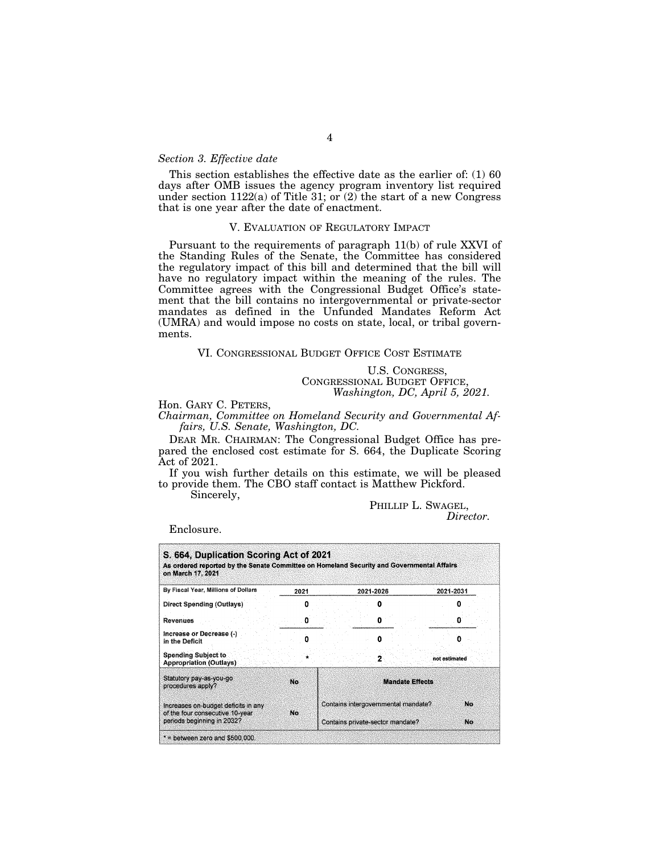## *Section 3. Effective date*

This section establishes the effective date as the earlier of: (1) 60 days after OMB issues the agency program inventory list required under section  $1122(a)$  of Title 31; or  $(2)$  the start of a new Congress that is one year after the date of enactment.

#### V. EVALUATION OF REGULATORY IMPACT

Pursuant to the requirements of paragraph 11(b) of rule XXVI of the Standing Rules of the Senate, the Committee has considered the regulatory impact of this bill and determined that the bill will have no regulatory impact within the meaning of the rules. The Committee agrees with the Congressional Budget Office's statement that the bill contains no intergovernmental or private-sector mandates as defined in the Unfunded Mandates Reform Act (UMRA) and would impose no costs on state, local, or tribal governments.

#### VI. CONGRESSIONAL BUDGET OFFICE COST ESTIMATE

U.S. CONGRESS, CONGRESSIONAL BUDGET OFFICE, *Washington, DC, April 5, 2021.* 

## Hon. GARY C. PETERS,

*Chairman, Committee on Homeland Security and Governmental Affairs, U.S. Senate, Washington, DC.* 

DEAR MR. CHAIRMAN: The Congressional Budget Office has prepared the enclosed cost estimate for S. 664, the Duplicate Scoring Act of 2021.

If you wish further details on this estimate, we will be pleased to provide them. The CBO staff contact is Matthew Pickford.

Sincerely,

# PHILLIP L. SWAGEL,<br>*Director*.

Enclosure.

| S. 664, Duplication Scoring Act of 2021<br>As ordered reported by the Senate Committee on Homeland Security and Governmental Affairs<br>on March 17, 2021 |      |                                                                         |  |           |                        |               |  |
|-----------------------------------------------------------------------------------------------------------------------------------------------------------|------|-------------------------------------------------------------------------|--|-----------|------------------------|---------------|--|
| By Fiscal Year, Millions of Dollars                                                                                                                       | 2021 |                                                                         |  | 2021-2026 |                        | 2021-2031     |  |
| Direct Spending (Outlays)                                                                                                                                 |      |                                                                         |  |           |                        |               |  |
| <b>Revenues</b>                                                                                                                                           |      |                                                                         |  |           |                        |               |  |
| Increase or Decrease (-)<br>in the Deficit                                                                                                                |      |                                                                         |  |           |                        |               |  |
| <b>Spending Subject to</b><br><b>Appropriation (Outlays)</b>                                                                                              |      |                                                                         |  |           |                        | not estimated |  |
| Statutory pay-as-you-go<br>procedures apply?                                                                                                              | No.  |                                                                         |  |           | <b>Mandate Effects</b> |               |  |
| Increases on-budget deficits in any<br>of the four consecutive 10-year<br>periods beginning in 2032?                                                      | No.  | Contains intergovernmental mandate?<br>Contains private-sector mandate? |  |           | No<br>No.              |               |  |
| $*$ = between zero and \$500,000.                                                                                                                         |      |                                                                         |  |           |                        |               |  |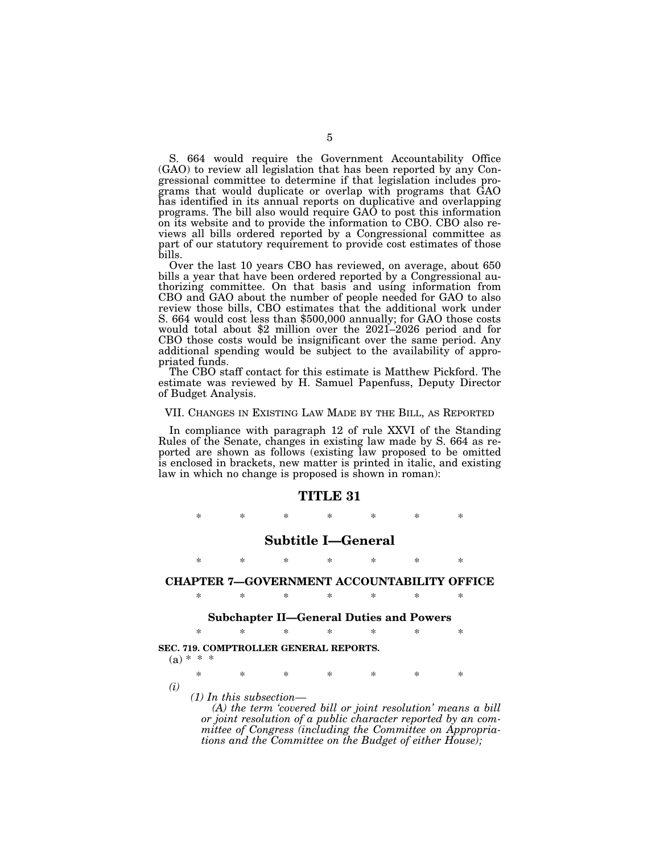S. 664 would require the Government Accountability Office (GAO) to review all legislation that has been reported by any Congressional committee to determine if that legislation includes programs that would duplicate or overlap with programs that GAO has identified in its annual reports on duplicative and overlapping programs. The bill also would require GAO to post this information on its website and to provide the information to CBO. CBO also reviews all bills ordered reported by a Congressional committee as part of our statutory requirement to provide cost estimates of those bills.

Over the last 10 years CBO has reviewed, on average, about 650 bills a year that have been ordered reported by a Congressional authorizing committee. On that basis and using information from CBO and GAO about the number of people needed for GAO to also review those bills, CBO estimates that the additional work under S. 664 would cost less than \$500,000 annually; for GAO those costs would total about \$2 million over the 2021–2026 period and for CBO those costs would be insignificant over the same period. Any additional spending would be subject to the availability of appropriated funds.

The CBO staff contact for this estimate is Matthew Pickford. The estimate was reviewed by H. Samuel Papenfuss, Deputy Director of Budget Analysis.

#### VII. CHANGES IN EXISTING LAW MADE BY THE BILL, AS REPORTED

In compliance with paragraph 12 of rule XXVI of the Standing Rules of the Senate, changes in existing law made by S. 664 as reported are shown as follows (existing law proposed to be omitted is enclosed in brackets, new matter is printed in italic, and existing law in which no change is proposed is shown in roman):

#### **TITLE 31**

\* \* \* \* \* \* \*

## **Subtitle I—General**

\* \* \* \* \* \* \*

## **CHAPTER 7—GOVERNMENT ACCOUNTABILITY OFFICE**  \* \* \* \* \* \* \*

#### **Subchapter II—General Duties and Powers**

|  | SEC. 719. COMPTROLLER GENERAL REPORTS. |  |  |
|--|----------------------------------------|--|--|

 $(a) * * *$ 

\* \* \* \* \* \* \* *(i)* 

*(1) In this subsection—* 

*(A) the term 'covered bill or joint resolution' means a bill or joint resolution of a public character reported by an committee of Congress (including the Committee on Appropriations and the Committee on the Budget of either House);*